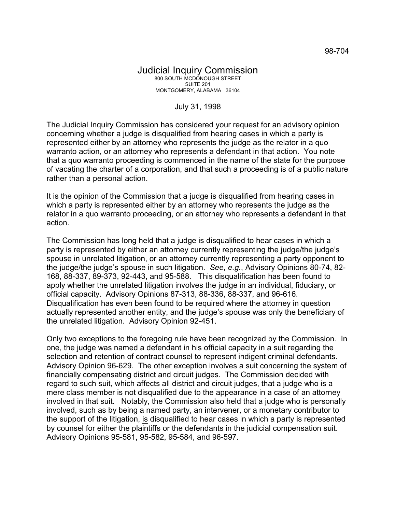## Judicial Inquiry Commission 800 SOUTH MCDONOUGH STREET SUITE 201 MONTGOMERY, ALABAMA 36104

## July 31, 1998

The Judicial Inquiry Commission has considered your request for an advisory opinion concerning whether a judge is disqualified from hearing cases in which a party is represented either by an attorney who represents the judge as the relator in a quo warranto action, or an attorney who represents a defendant in that action. You note that a quo warranto proceeding is commenced in the name of the state for the purpose of vacating the charter of a corporation, and that such a proceeding is of a public nature rather than a personal action.

It is the opinion of the Commission that a judge is disqualified from hearing cases in which a party is represented either by an attorney who represents the judge as the relator in a quo warranto proceeding, or an attorney who represents a defendant in that action.

The Commission has long held that a judge is disqualified to hear cases in which a party is represented by either an attorney currently representing the judge/the judge's spouse in unrelated litigation, or an attorney currently representing a party opponent to the judge/the judge's spouse in such litigation. *See, e.g.*, Advisory Opinions 80-74, 82- 168, 88-337, 89-373, 92-443, and 95-588. This disqualification has been found to apply whether the unrelated litigation involves the judge in an individual, fiduciary, or official capacity. Advisory Opinions 87-313, 88-336, 88-337, and 96-616. Disqualification has even been found to be required where the attorney in question actually represented another entity, and the judge's spouse was only the beneficiary of the unrelated litigation. Advisory Opinion 92-451.

Only two exceptions to the foregoing rule have been recognized by the Commission. In one, the judge was named a defendant in his official capacity in a suit regarding the selection and retention of contract counsel to represent indigent criminal defendants. Advisory Opinion 96-629. The other exception involves a suit concerning the system of financially compensating district and circuit judges. The Commission decided with regard to such suit, which affects all district and circuit judges, that a judge who is a mere class member is not disqualified due to the appearance in a case of an attorney involved in that suit. Notably, the Commission also held that a judge who is personally involved, such as by being a named party, an intervener, or a monetary contributor to the support of the litigation, is disqualified to hear cases in which a party is represented by counsel for either the plaintiffs or the defendants in the judicial compensation suit. Advisory Opinions 95-581, 95-582, 95-584, and 96-597.